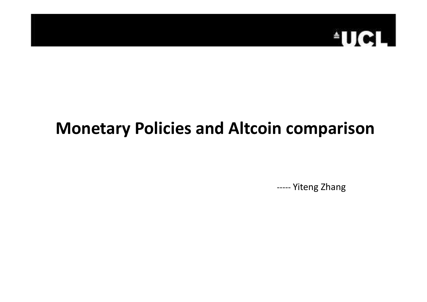

### **Monetary Policies and Altcoin comparison**

----- Yiteng Zhang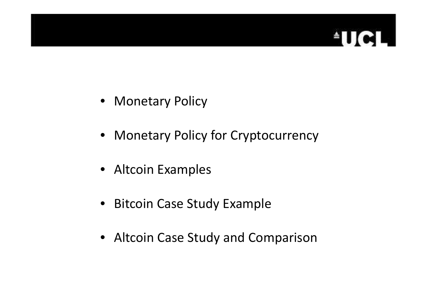# **ELITER**

- Monetary Policy
- Monetary Policy for Cryptocurrency
- Altcoin Examples
- Bitcoin Case Study Example
- Altcoin Case Study and Comparison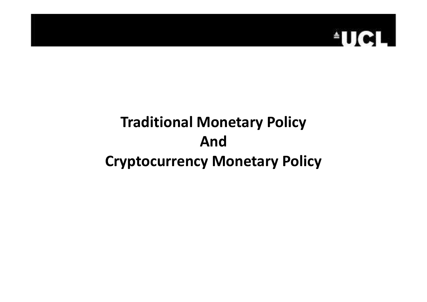

#### **Traditional Monetary PolicyAndCryptocurrency Monetary Policy**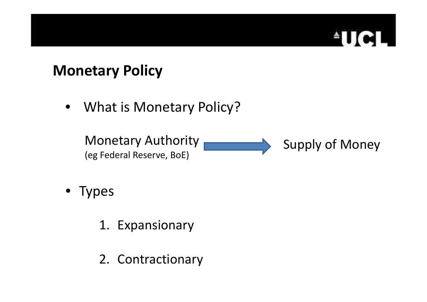# ind.

#### **Monetary Policy**

• What is Monetary Policy?

Monetary Authority (eg Federal Reserve, BoE) Supply of Money

- Types
	- 1. Expansionary
	- 2. Contractionary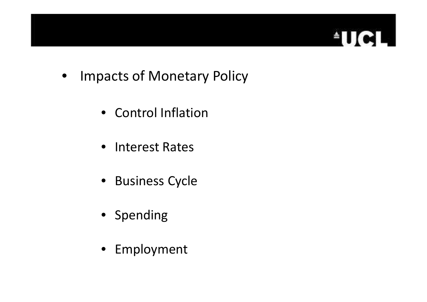

- Impacts of Monetary Policy
	- Control Inflation
	- Interest Rates
	- Business Cycle
	- Spending
	- Employment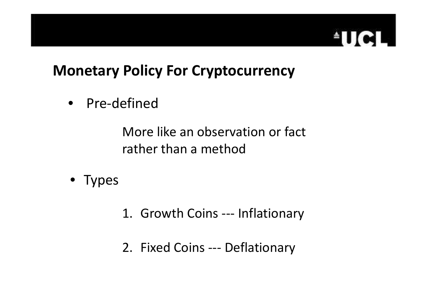# **ELITORI**

#### **Monetary Policy For Cryptocurrency**

• Pre-defined

More like an observation or fact rather than a method

- Types
- 1. Growth Coins --- Inflationary
- 2. Fixed Coins --- Deflationary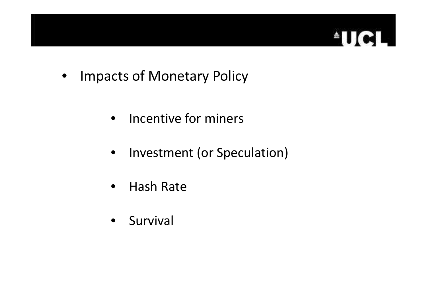

- Impacts of Monetary Policy
	- Incentive for miners
	- Investment (or Speculation)
	- $\bullet$ Hash Rate
	- Survival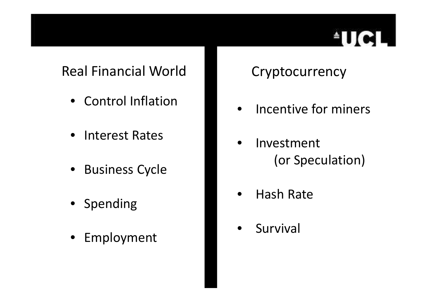# **ETTel**

#### Real Financial World

- Control Inflation
- $\bullet$ Interest Rates
- Business Cycle
- Spending
- $\bullet$ Employment

#### Cryptocurrency

- $\bullet$ Incentive for miners
- • Investment (or Speculation)
- $\bullet$ Hash Rate
- $\bullet$ Survival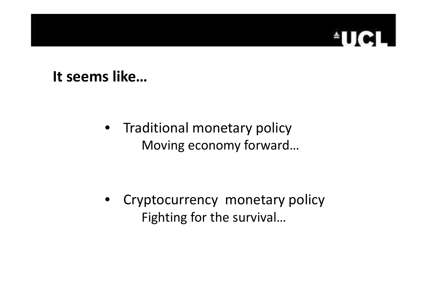#### $\lceil$ ed 最上

#### **It seems like…**

• Traditional monetary policyMoving economy forward…

• Cryptocurrency monetary policyFighting for the survival…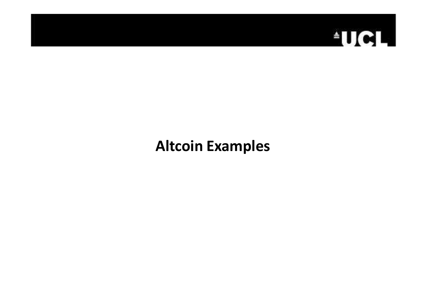

#### **Altcoin Examples**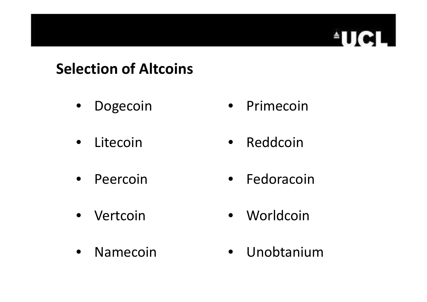#### **Selection of Altcoins**

- $\bullet$ Dogecoin
- $\bullet$ Litecoin
- Peercoin
- $\bullet$ Vertcoin
- Namecoin

• Primecoin

**EUCI** 

Ľ.

- $\bullet$ Reddcoin
- Fedoracoin
- Worldcoin
- Unobtanium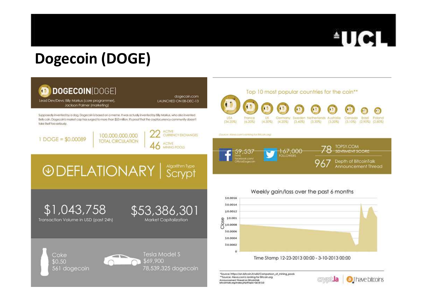

#### **Dogecoin (DOGE)**

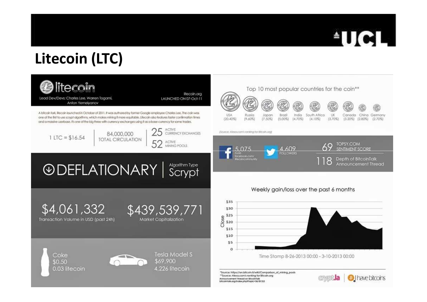

## **Litecoin (LTC)**

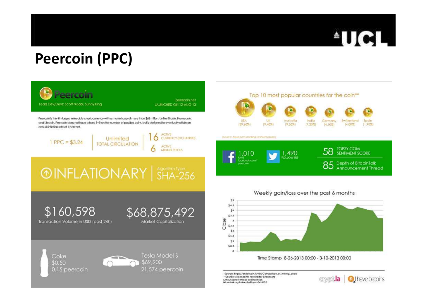

## **Peercoin (PPC)**

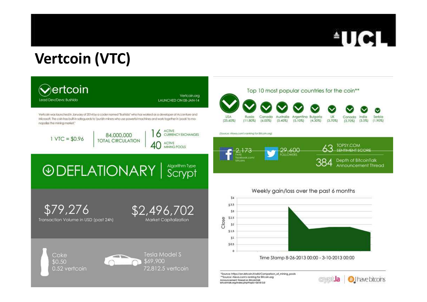

## **Vertcoin (VTC)**

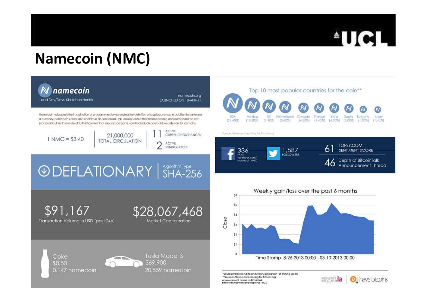

### **Namecoin (NMC)**

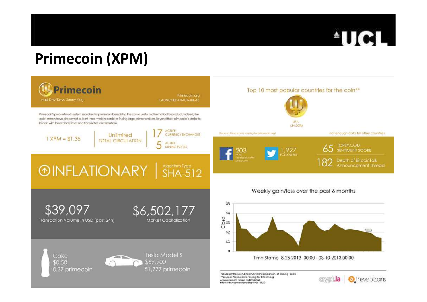

### **Primecoin (XPM)**

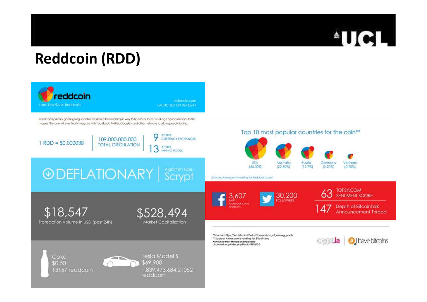

### **Reddcoin (RDD)**

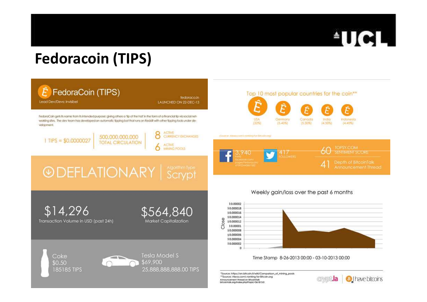

### **Fedoracoin (TIPS)**

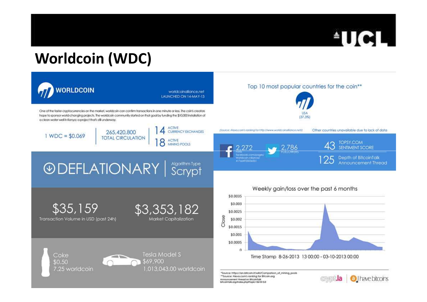

### **Worldcoin (WDC)**

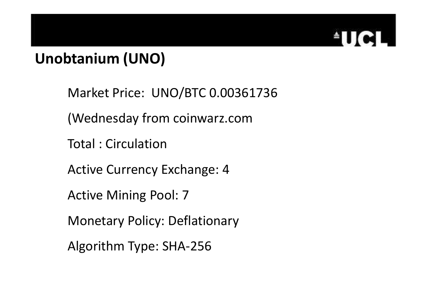

# **Unobtanium (UNO)**

Market Price: UNO/BTC 0.00361736

(Wednesday from coinwarz.com

Total : Circulation

Active Currency Exchange: 4

Active Mining Pool: 7

Monetary Policy: Deflationary

Algorithm Type: SHA-256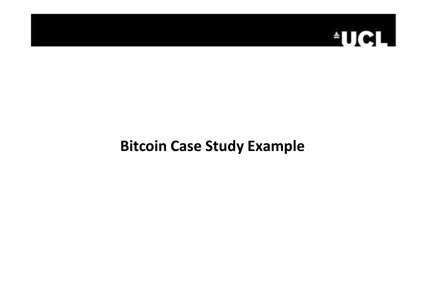

#### **Bitcoin Case Study Example**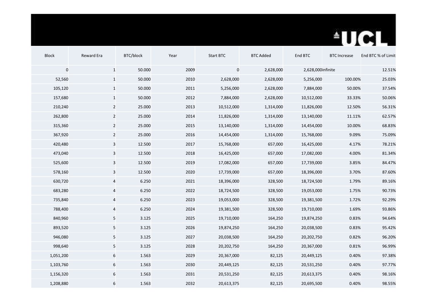

| <b>Block</b> | Reward Era              | BTC/block | Year | Start BTC  | <b>BTC Added</b> | End BTC           | <b>BTC Increase</b> | End BTC % of Limit |
|--------------|-------------------------|-----------|------|------------|------------------|-------------------|---------------------|--------------------|
| $\pmb{0}$    | $\mathbf{1}$            | 50.000    | 2009 | $\pmb{0}$  | 2,628,000        | 2,628,000infinite |                     | 12.51%             |
| 52,560       | $\mathbf{1}$            | 50.000    | 2010 | 2,628,000  | 2,628,000        | 5,256,000         | 100.00%             | 25.03%             |
| 105,120      | $\mathbf 1$             | 50.000    | 2011 | 5,256,000  | 2,628,000        | 7,884,000         | 50.00%              | 37.54%             |
| 157,680      | $\mathbf{1}$            | 50.000    | 2012 | 7,884,000  | 2,628,000        | 10,512,000        | 33.33%              | 50.06%             |
| 210,240      | $\overline{2}$          | 25.000    | 2013 | 10,512,000 | 1,314,000        | 11,826,000        | 12.50%              | 56.31%             |
| 262,800      | $\overline{2}$          | 25.000    | 2014 | 11,826,000 | 1,314,000        | 13,140,000        | 11.11%              | 62.57%             |
| 315,360      | $\overline{2}$          | 25.000    | 2015 | 13,140,000 | 1,314,000        | 14,454,000        | 10.00%              | 68.83%             |
| 367,920      | $\overline{2}$          | 25.000    | 2016 | 14,454,000 | 1,314,000        | 15,768,000        | 9.09%               | 75.09%             |
| 420,480      | 3                       | 12.500    | 2017 | 15,768,000 | 657,000          | 16,425,000        | 4.17%               | 78.21%             |
| 473,040      | 3                       | 12.500    | 2018 | 16,425,000 | 657,000          | 17,082,000        | 4.00%               | 81.34%             |
| 525,600      | $\mathsf 3$             | 12.500    | 2019 | 17,082,000 | 657,000          | 17,739,000        | 3.85%               | 84.47%             |
| 578,160      | 3                       | 12.500    | 2020 | 17,739,000 | 657,000          | 18,396,000        | 3.70%               | 87.60%             |
| 630,720      | 4                       | 6.250     | 2021 | 18,396,000 | 328,500          | 18,724,500        | 1.79%               | 89.16%             |
| 683,280      | $\overline{\mathbf{r}}$ | 6.250     | 2022 | 18,724,500 | 328,500          | 19,053,000        | 1.75%               | 90.73%             |
| 735,840      | 4                       | 6.250     | 2023 | 19,053,000 | 328,500          | 19,381,500        | 1.72%               | 92.29%             |
| 788,400      | $\overline{\mathbf{r}}$ | 6.250     | 2024 | 19,381,500 | 328,500          | 19,710,000        | 1.69%               | 93.86%             |
| 840,960      | 5                       | 3.125     | 2025 | 19,710,000 | 164,250          | 19,874,250        | 0.83%               | 94.64%             |
| 893,520      | 5                       | 3.125     | 2026 | 19,874,250 | 164,250          | 20,038,500        | 0.83%               | 95.42%             |
| 946,080      | 5                       | 3.125     | 2027 | 20,038,500 | 164,250          | 20,202,750        | 0.82%               | 96.20%             |
| 998,640      | $\mathsf S$             | 3.125     | 2028 | 20,202,750 | 164,250          | 20,367,000        | 0.81%               | 96.99%             |
| 1,051,200    | $\,$ 6 $\,$             | 1.563     | 2029 | 20,367,000 | 82,125           | 20,449,125        | 0.40%               | 97.38%             |
| 1,103,760    | $\,$ 6 $\,$             | 1.563     | 2030 | 20,449,125 | 82,125           | 20,531,250        | 0.40%               | 97.77%             |
| 1,156,320    | $\,$ 6 $\,$             | 1.563     | 2031 | 20,531,250 | 82,125           | 20,613,375        | 0.40%               | 98.16%             |
| 1,208,880    | 6                       | 1.563     | 2032 | 20,613,375 | 82,125           | 20,695,500        | 0.40%               | 98.55%             |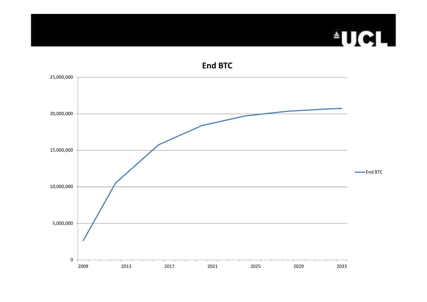# **AUGH**

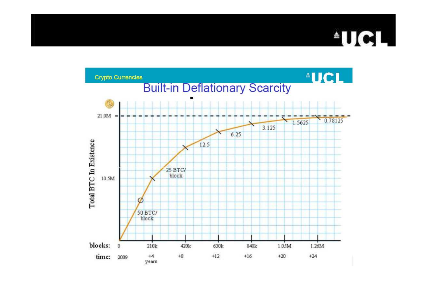#### TICI L.

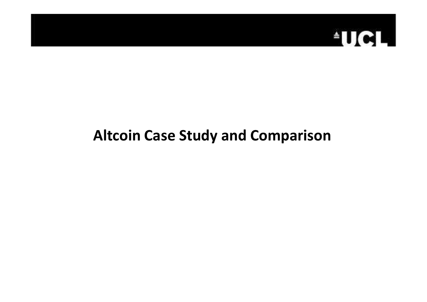

## **Altcoin Case Study and Comparison**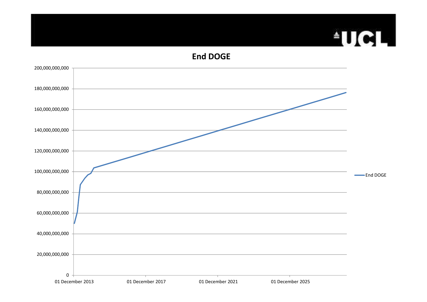#### **End DOGE**

**AUCL** 

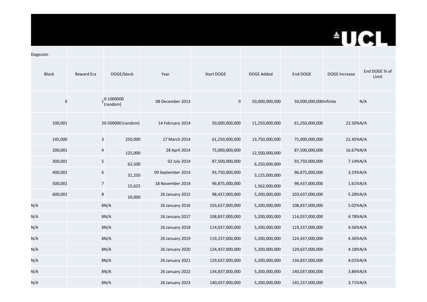## **AUCL**

| Dogecoin         |                   |                                    |                        |                 |                   |                        |                      |                        |
|------------------|-------------------|------------------------------------|------------------------|-----------------|-------------------|------------------------|----------------------|------------------------|
| <b>Block</b>     | <b>Reward Era</b> | DOGE/block                         | Year                   | Start DOGE      | <b>DOGE Added</b> | End DOGE               | <b>DOGE Increase</b> | End DOGE % of<br>Limit |
| $\boldsymbol{0}$ |                   | $1^{0-1000000}$<br>(random)        | 08 December 2013       | $\pmb{0}$       | 50,000,000,000    | 50,000,000,000Infinite |                      | N/A                    |
| 100,001          |                   | 20-500000 (random)                 | 14 February 2014       | 50,000,000,000  | 11,250,000,000    | 61,250,000,000         | 22.50%N/A            |                        |
| 145,000          |                   | $\overline{\mathbf{3}}$<br>250,000 | 17 March 2014          | 61,250,000,000  | 13,750,000,000    | 75,000,000,000         | 22.45%N/A            |                        |
| 200,001          |                   | $\overline{a}$<br>125,000          | 28 April 2014          | 75,000,000,000  | 12,500,000,000    | 87,500,000,000         | 16.67%N/A            |                        |
| 300,001          |                   | 5<br>62,500                        | 02 July 2014           | 87,500,000,000  | 6,250,000,000     | 93,750,000,000         | 7.14%N/A             |                        |
| 400,001          |                   | $\boldsymbol{6}$<br>31,250         | 09 September 2014      | 93,750,000,000  | 3,125,000,000     | 96,875,000,000         | 3.33%N/A             |                        |
| 500,001          |                   | $\overline{7}$<br>15,625           | 18 November 2014       | 96,875,000,000  | 1,562,000,000     | 98,437,000,000         | 1.61%N/A             |                        |
| 600,001          |                   | 8<br>10,000                        | 26 January 2015        | 98,437,000,000  | 5,200,000,000     | 103,637,000,000        | 5.28%N/A             |                        |
| N/A              |                   | 8N/A                               | 26 January 2016        | 103,637,000,000 | 5,200,000,000     | 108,837,000,000        | 5.02%N/A             |                        |
| N/A              |                   | 8N/A                               | 26 January 2017        | 108,837,000,000 | 5,200,000,000     | 114,037,000,000        | 4.78%N/A             |                        |
| N/A              |                   | 8N/A                               | 26 January 2018        | 114,037,000,000 | 5,200,000,000     | 119,237,000,000        | 4.56%N/A             |                        |
| N/A              |                   | 8N/A                               | 26 January 2019        | 119,237,000,000 | 5,200,000,000     | 124,437,000,000        | 4.36%N/A             |                        |
| N/A              |                   | 8N/A                               | <b>26 January 2020</b> | 124,437,000,000 | 5,200,000,000     | 129,637,000,000        | 4.18%N/A             |                        |
| N/A              |                   | 8N/A                               | 26 January 2021        | 129,637,000,000 | 5,200,000,000     | 134,837,000,000        | 4.01%N/A             |                        |
| N/A              |                   | 8N/A                               | 26 January 2022        | 134,837,000,000 | 5,200,000,000     | 140,037,000,000        | 3.86%N/A             |                        |
| N/A              |                   | 8N/A                               | 26 January 2023        | 140,037,000,000 | 5,200,000,000     | 145,237,000,000        | 3.71%N/A             |                        |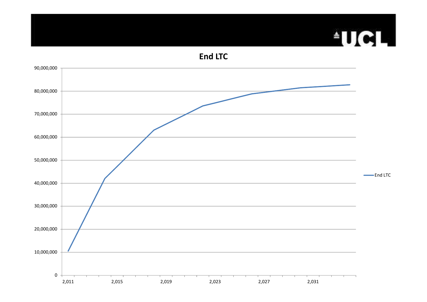## **TICL**

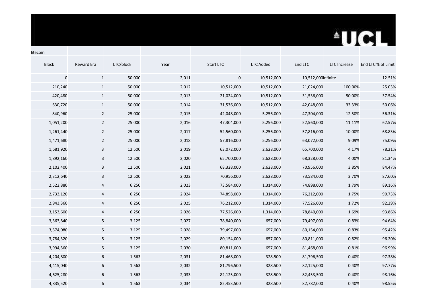# **TICL**

| <b>Block</b> | Reward Era              | LTC/block | Year  | Start LTC  | <b>LTC Added</b> | End LTC            | <b>LTC</b> Increase | End LTC % of Limit |
|--------------|-------------------------|-----------|-------|------------|------------------|--------------------|---------------------|--------------------|
| $\pmb{0}$    | $\mathbf{1}$            | 50.000    | 2,011 | $\pmb{0}$  | 10,512,000       | 10,512,000infinite |                     | 12.51%             |
| 210,240      | $\mathbf{1}$            | 50.000    | 2,012 | 10,512,000 | 10,512,000       | 21,024,000         | 100.00%             | 25.03%             |
| 420,480      | $\mathbf{1}$            | 50.000    | 2,013 | 21,024,000 | 10,512,000       | 31,536,000         | 50.00%              | 37.54%             |
| 630,720      | $\mathbf{1}$            | 50.000    | 2,014 | 31,536,000 | 10,512,000       | 42,048,000         | 33.33%              | 50.06%             |
| 840,960      | $\overline{2}$          | 25.000    | 2,015 | 42,048,000 | 5,256,000        | 47,304,000         | 12.50%              | 56.31%             |
| 1,051,200    | $\overline{2}$          | 25.000    | 2,016 | 47,304,000 | 5,256,000        | 52,560,000         | 11.11%              | 62.57%             |
| 1,261,440    | $\overline{2}$          | 25.000    | 2,017 | 52,560,000 | 5,256,000        | 57,816,000         | 10.00%              | 68.83%             |
| 1,471,680    | $\overline{2}$          | 25.000    | 2,018 | 57,816,000 | 5,256,000        | 63,072,000         | 9.09%               | 75.09%             |
| 1,681,920    | $\mathbf{3}$            | 12.500    | 2,019 | 63,072,000 | 2,628,000        | 65,700,000         | 4.17%               | 78.21%             |
| 1,892,160    | 3                       | 12.500    | 2,020 | 65,700,000 | 2,628,000        | 68,328,000         | 4.00%               | 81.34%             |
| 2,102,400    | 3                       | 12.500    | 2,021 | 68,328,000 | 2,628,000        | 70,956,000         | 3.85%               | 84.47%             |
| 2,312,640    | $\mathsf 3$             | 12.500    | 2,022 | 70,956,000 | 2,628,000        | 73,584,000         | 3.70%               | 87.60%             |
| 2,522,880    | 4                       | 6.250     | 2,023 | 73,584,000 | 1,314,000        | 74,898,000         | 1.79%               | 89.16%             |
| 2,733,120    | 4                       | 6.250     | 2,024 | 74,898,000 | 1,314,000        | 76,212,000         | 1.75%               | 90.73%             |
| 2,943,360    | $\overline{\mathbf{r}}$ | 6.250     | 2,025 | 76,212,000 | 1,314,000        | 77,526,000         | 1.72%               | 92.29%             |
| 3,153,600    | $\overline{a}$          | 6.250     | 2,026 | 77,526,000 | 1,314,000        | 78,840,000         | 1.69%               | 93.86%             |
| 3,363,840    | $\overline{5}$          | 3.125     | 2,027 | 78,840,000 | 657,000          | 79,497,000         | 0.83%               | 94.64%             |
| 3,574,080    | $5\phantom{.0}$         | 3.125     | 2,028 | 79,497,000 | 657,000          | 80,154,000         | 0.83%               | 95.42%             |
| 3,784,320    | 5                       | 3.125     | 2,029 | 80,154,000 | 657,000          | 80,811,000         | 0.82%               | 96.20%             |
| 3,994,560    | $5\phantom{.0}$         | 3.125     | 2,030 | 80,811,000 | 657,000          | 81,468,000         | 0.81%               | 96.99%             |
| 4,204,800    | 6                       | 1.563     | 2,031 | 81,468,000 | 328,500          | 81,796,500         | 0.40%               | 97.38%             |
| 4,415,040    | 6                       | 1.563     | 2,032 | 81,796,500 | 328,500          | 82,125,000         | 0.40%               | 97.77%             |
| 4,625,280    | 6                       | 1.563     | 2,033 | 82,125,000 | 328,500          | 82,453,500         | 0.40%               | 98.16%             |
| 4,835,520    | 6                       | 1.563     | 2,034 | 82,453,500 | 328,500          | 82,782,000         | 0.40%               | 98.55%             |

litecoin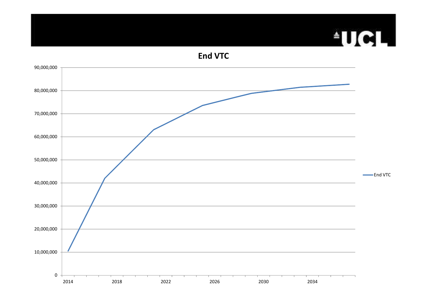## **FUCL**

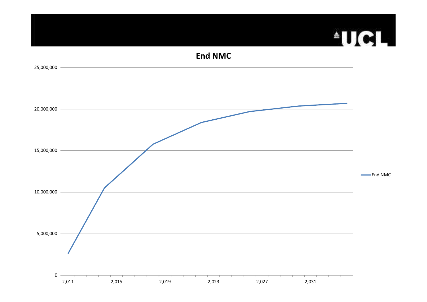#### **End NMC**

**FUCL** 

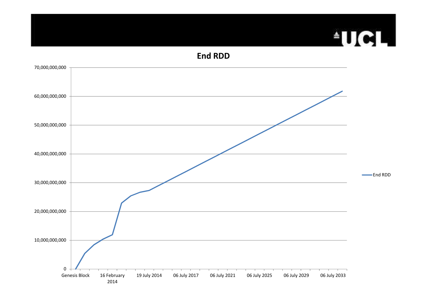## **ATIGLE**

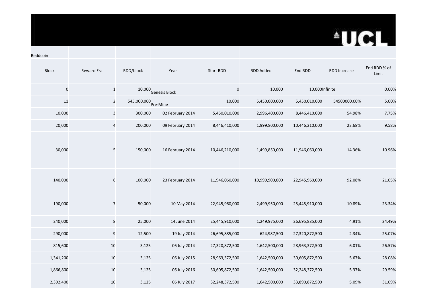## **AUCL**

| Reddcoin     |                         |                         |                  |                  |                |                 |                     |                       |
|--------------|-------------------------|-------------------------|------------------|------------------|----------------|-----------------|---------------------|-----------------------|
| <b>Block</b> | Reward Era              | RDD/block               | Year             | <b>Start RDD</b> | RDD Added      | End RDD         | <b>RDD Increase</b> | End RDD % of<br>Limit |
| $\mathbf 0$  | $\mathbf{1}$            | 10,000                  | Genesis Block    | $\pmb{0}$        | 10,000         | 10,000 Infinite |                     | 0.00%                 |
| 11           | $\mathbf 2$             | 545,000,000<br>Pre-Mine |                  | 10,000           | 5,450,000,000  | 5,450,010,000   | 54500000.00%        | 5.00%                 |
| 10,000       | $\mathbf{3}$            | 300,000                 | 02 February 2014 | 5,450,010,000    | 2,996,400,000  | 8,446,410,000   | 54.98%              | 7.75%                 |
| 20,000       | $\overline{\mathbf{4}}$ | 200,000                 | 09 February 2014 | 8,446,410,000    | 1,999,800,000  | 10,446,210,000  | 23.68%              | 9.58%                 |
| 30,000       | $\sqrt{5}$              | 150,000                 | 16 February 2014 | 10,446,210,000   | 1,499,850,000  | 11,946,060,000  | 14.36%              | 10.96%                |
| 140,000      | $\,$ 6 $\,$             | 100,000                 | 23 February 2014 | 11,946,060,000   | 10,999,900,000 | 22,945,960,000  | 92.08%              | 21.05%                |
| 190,000      | $\overline{7}$          | 50,000                  | 10 May 2014      | 22,945,960,000   | 2,499,950,000  | 25,445,910,000  | 10.89%              | 23.34%                |
| 240,000      | $\,$ 8 $\,$             | 25,000                  | 14 June 2014     | 25,445,910,000   | 1,249,975,000  | 26,695,885,000  | 4.91%               | 24.49%                |
| 290,000      | $\overline{9}$          | 12,500                  | 19 July 2014     | 26,695,885,000   | 624,987,500    | 27,320,872,500  | 2.34%               | 25.07%                |
| 815,600      | 10                      | 3,125                   | 06 July 2014     | 27,320,872,500   | 1,642,500,000  | 28,963,372,500  | 6.01%               | 26.57%                |
| 1,341,200    | 10                      | 3,125                   | 06 July 2015     | 28,963,372,500   | 1,642,500,000  | 30,605,872,500  | 5.67%               | 28.08%                |
| 1,866,800    | 10                      | 3,125                   | 06 July 2016     | 30,605,872,500   | 1,642,500,000  | 32,248,372,500  | 5.37%               | 29.59%                |
| 2,392,400    | 10                      | 3,125                   | 06 July 2017     | 32,248,372,500   | 1,642,500,000  | 33,890,872,500  | 5.09%               | 31.09%                |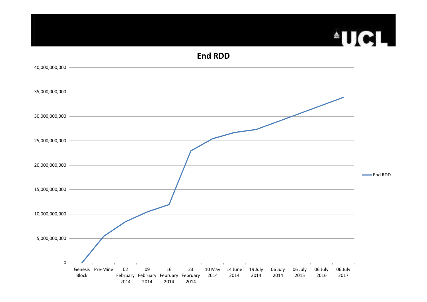## **FUCL**

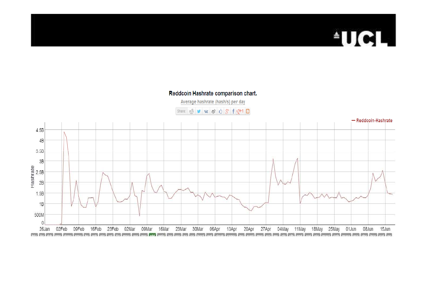#### **AUGL** Ę.